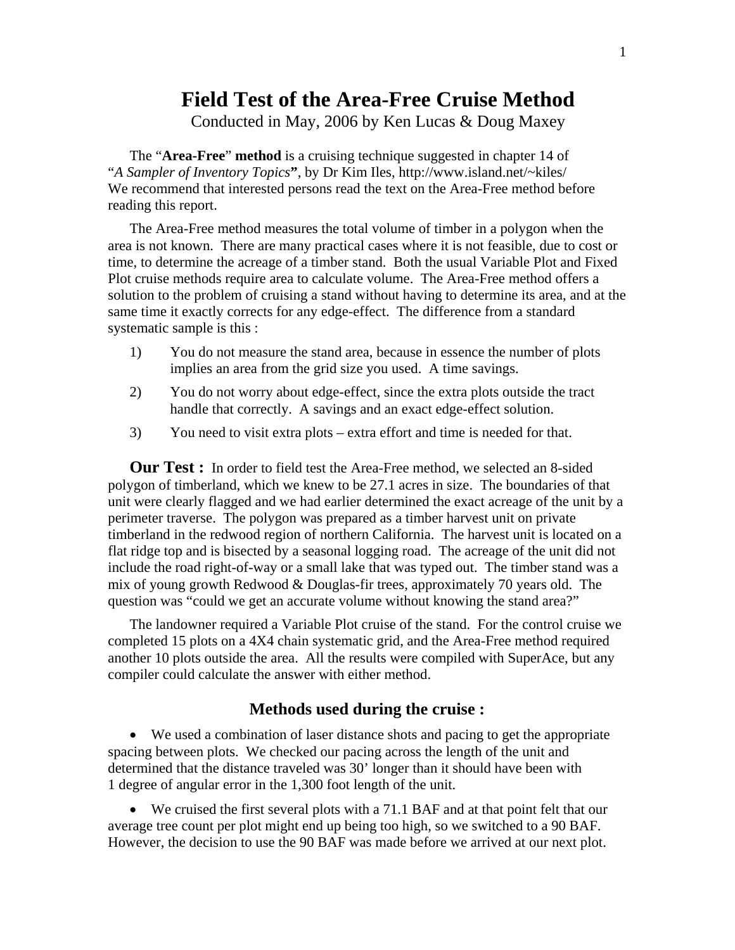## **Field Test of the Area-Free Cruise Method**

Conducted in May, 2006 by Ken Lucas & Doug Maxey

The "**Area-Free**" **method** is a cruising technique suggested in chapter 14 of "*A Sampler of Inventory Topics***"**, by Dr Kim Iles, http://www.island.net/~kiles/ We recommend that interested persons read the text on the Area-Free method before reading this report.

The Area-Free method measures the total volume of timber in a polygon when the area is not known. There are many practical cases where it is not feasible, due to cost or time, to determine the acreage of a timber stand. Both the usual Variable Plot and Fixed Plot cruise methods require area to calculate volume. The Area-Free method offers a solution to the problem of cruising a stand without having to determine its area, and at the same time it exactly corrects for any edge-effect. The difference from a standard systematic sample is this :

- 1) You do not measure the stand area, because in essence the number of plots implies an area from the grid size you used. A time savings.
- 2) You do not worry about edge-effect, since the extra plots outside the tract handle that correctly. A savings and an exact edge-effect solution.
- 3) You need to visit extra plots extra effort and time is needed for that.

**Our Test :** In order to field test the Area-Free method, we selected an 8-sided polygon of timberland, which we knew to be 27.1 acres in size. The boundaries of that unit were clearly flagged and we had earlier determined the exact acreage of the unit by a perimeter traverse. The polygon was prepared as a timber harvest unit on private timberland in the redwood region of northern California. The harvest unit is located on a flat ridge top and is bisected by a seasonal logging road. The acreage of the unit did not include the road right-of-way or a small lake that was typed out. The timber stand was a mix of young growth Redwood & Douglas-fir trees, approximately 70 years old. The question was "could we get an accurate volume without knowing the stand area?"

The landowner required a Variable Plot cruise of the stand. For the control cruise we completed 15 plots on a 4X4 chain systematic grid, and the Area-Free method required another 10 plots outside the area. All the results were compiled with SuperAce, but any compiler could calculate the answer with either method.

## **Methods used during the cruise :**

• We used a combination of laser distance shots and pacing to get the appropriate spacing between plots. We checked our pacing across the length of the unit and determined that the distance traveled was 30' longer than it should have been with 1 degree of angular error in the 1,300 foot length of the unit.

• We cruised the first several plots with a 71.1 BAF and at that point felt that our average tree count per plot might end up being too high, so we switched to a 90 BAF. However, the decision to use the 90 BAF was made before we arrived at our next plot.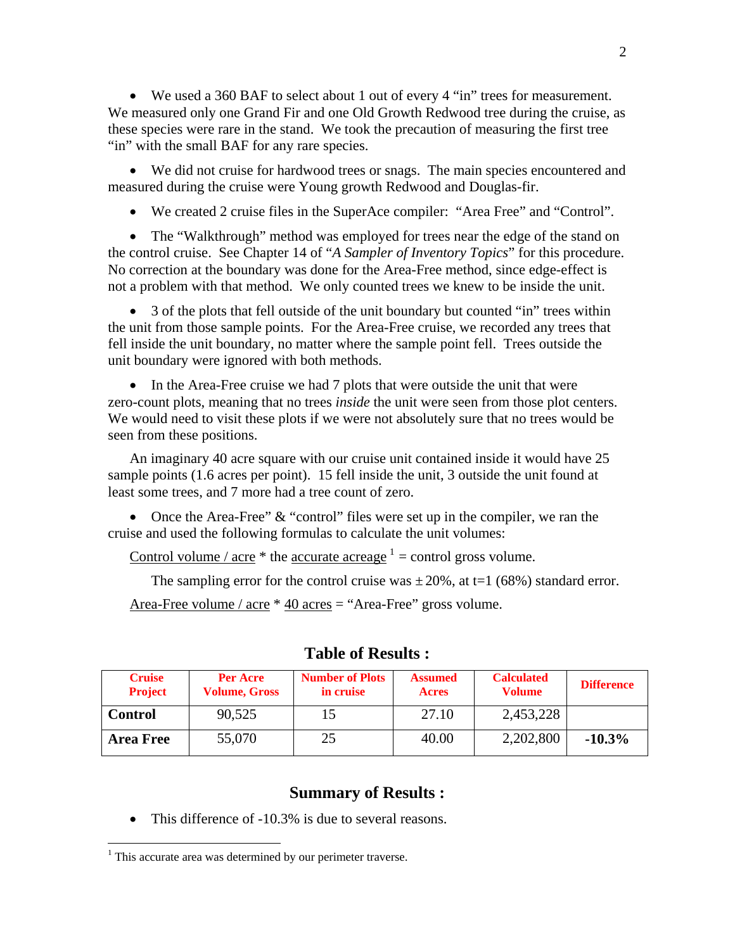• We used a 360 BAF to select about 1 out of every 4 "in" trees for measurement. We measured only one Grand Fir and one Old Growth Redwood tree during the cruise, as these species were rare in the stand. We took the precaution of measuring the first tree "in" with the small BAF for any rare species.

• We did not cruise for hardwood trees or snags. The main species encountered and measured during the cruise were Young growth Redwood and Douglas-fir.

• We created 2 cruise files in the SuperAce compiler: "Area Free" and "Control".

• The "Walkthrough" method was employed for trees near the edge of the stand on the control cruise. See Chapter 14 of "*A Sampler of Inventory Topics*" for this procedure. No correction at the boundary was done for the Area-Free method, since edge-effect is not a problem with that method. We only counted trees we knew to be inside the unit.

• 3 of the plots that fell outside of the unit boundary but counted "in" trees within the unit from those sample points. For the Area-Free cruise, we recorded any trees that fell inside the unit boundary, no matter where the sample point fell. Trees outside the unit boundary were ignored with both methods.

• In the Area-Free cruise we had 7 plots that were outside the unit that were zero-count plots, meaning that no trees *inside* the unit were seen from those plot centers. We would need to visit these plots if we were not absolutely sure that no trees would be seen from these positions.

An imaginary 40 acre square with our cruise unit contained inside it would have 25 sample points (1.6 acres per point). 15 fell inside the unit, 3 outside the unit found at least some trees, and 7 more had a tree count of zero.

• Once the Area-Free"  $&$  "control" files were set up in the compiler, we ran the cruise and used the following formulas to calculate the unit volumes:

Control volume /  $\text{acre}^*$  the  $\text{accurate}$  acreage  $\frac{1}{1}$  = control gross volume.

The sampling error for the control cruise was  $\pm 20\%$ , at t=1 (68%) standard error.

Area-Free volume / acre \* 40 acres = "Area-Free" gross volume.

| <b>Cruise</b><br><b>Project</b> | Per Acre<br><b>Volume, Gross</b> | <b>Number of Plots</b><br>in cruise | <b>Assumed</b><br><b>Acres</b> | <b>Calculated</b><br><b>Volume</b> | <b>Difference</b> |
|---------------------------------|----------------------------------|-------------------------------------|--------------------------------|------------------------------------|-------------------|
| <b>Control</b>                  | 90,525                           |                                     | 27.10                          | 2,453,228                          |                   |
| <b>Area Free</b>                | 55,070                           | 25                                  | 40.00                          | 2,202,800                          | $-10.3%$          |

## **Table of Results :**

## **Summary of Results :**

• This difference of -10.3% is due to several reasons.

 $\overline{a}$ 

 $<sup>1</sup>$  This accurate area was determined by our perimeter traverse.</sup>